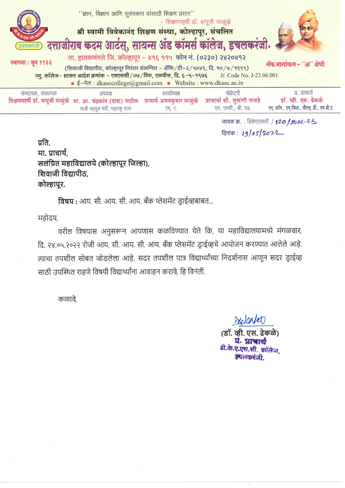

जावक क्र. : डिकेएएससी / 120 / 2022-23 दिनांक: 19/05/2021

प्रति. मा. प्राचार्य. सलंग्नित महाविद्यालये (कोल्हापूर जिल्हा), शिवाजी विद्यापीठ. कोल्हापूर.

विषय : आय. सी. आय. सी. आय. बँक प्लेसमेंट डाईव्हबाबत...

महोदय,

वरील विषयास अनुसरून आपणास कळविण्यात येते कि, या महाविद्यालयामध्ये मंगळवार, दि. २४.०५.२०२२ रोजी आय. सी. आय. सी. आय. बँक प्लेसमेंट ड्राईव्हचे आयोजन करण्यात आलेले आहे. त्याचा तपशील सोबत जोडलेला आहे. सदर तपशील पात्र विद्यार्थ्यांच्या निदर्शनास आणून सदर ड्राईव्ह साठी उपस्थित राहणे विषयी विद्यार्थ्यांना आवाहन करावे, हि विनंती.

कळावे.

elcaler (डॉ. व्ही. एस. ढेकळे) प्र. प्राचार्य डी.के.ए.एस.सी. कॉलेज **अथलकरंजी**